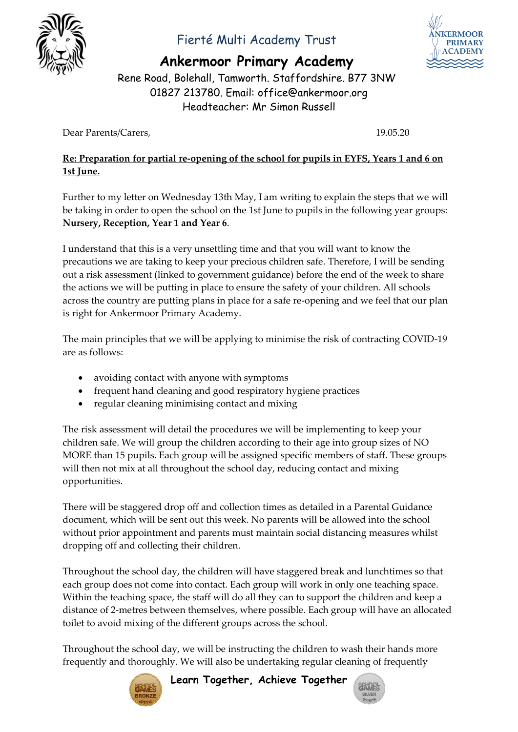

### Fierté Multi Academy Trust

**Ankermoor Primary Academy**

Rene Road, Bolehall, Tamworth. Staffordshire. B77 3NW 01827 213780. Email: office@ankermoor.org Headteacher: Mr Simon Russell

Dear Parents/Carers, 19.05.20

#### **Re: Preparation for partial re-opening of the school for pupils in EYFS, Years 1 and 6 on 1st June.**

Further to my letter on Wednesday 13th May, I am writing to explain the steps that we will be taking in order to open the school on the 1st June to pupils in the following year groups: **Nursery, Reception, Year 1 and Year 6**.

I understand that this is a very unsettling time and that you will want to know the precautions we are taking to keep your precious children safe. Therefore, I will be sending out a risk assessment (linked to government guidance) before the end of the week to share the actions we will be putting in place to ensure the safety of your children. All schools across the country are putting plans in place for a safe re-opening and we feel that our plan is right for Ankermoor Primary Academy.

The main principles that we will be applying to minimise the risk of contracting COVID-19 are as follows:

- avoiding contact with anyone with symptoms
- frequent hand cleaning and good respiratory hygiene practices
- regular cleaning minimising contact and mixing

The risk assessment will detail the procedures we will be implementing to keep your children safe. We will group the children according to their age into group sizes of NO MORE than 15 pupils. Each group will be assigned specific members of staff. These groups will then not mix at all throughout the school day, reducing contact and mixing opportunities.

There will be staggered drop off and collection times as detailed in a Parental Guidance document, which will be sent out this week. No parents will be allowed into the school without prior appointment and parents must maintain social distancing measures whilst dropping off and collecting their children.

Throughout the school day, the children will have staggered break and lunchtimes so that each group does not come into contact. Each group will work in only one teaching space. Within the teaching space, the staff will do all they can to support the children and keep a distance of 2-metres between themselves, where possible. Each group will have an allocated toilet to avoid mixing of the different groups across the school.

Throughout the school day, we will be instructing the children to wash their hands more frequently and thoroughly. We will also be undertaking regular cleaning of frequently



**Learn Together, Achieve Together**



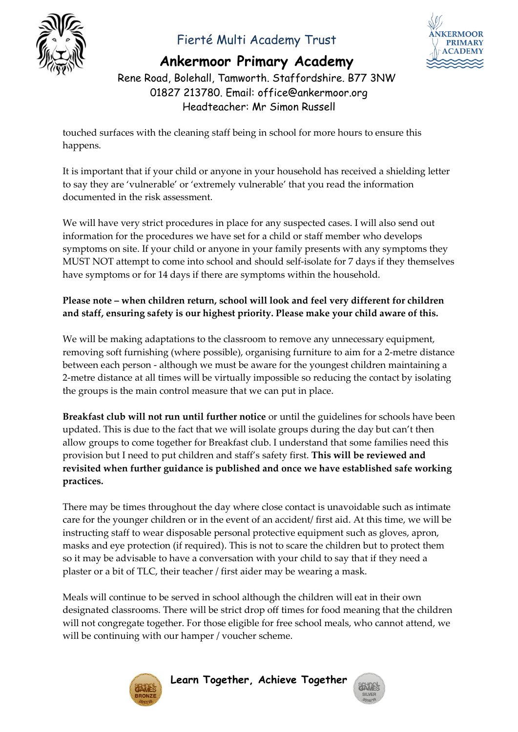

# Fierté Multi Academy Trust



# **Ankermoor Primary Academy**

Rene Road, Bolehall, Tamworth. Staffordshire. B77 3NW 01827 213780. Email: office@ankermoor.org Headteacher: Mr Simon Russell

touched surfaces with the cleaning staff being in school for more hours to ensure this happens.

It is important that if your child or anyone in your household has received a shielding letter to say they are 'vulnerable' or 'extremely vulnerable' that you read the information documented in the risk assessment.

We will have very strict procedures in place for any suspected cases. I will also send out information for the procedures we have set for a child or staff member who develops symptoms on site. If your child or anyone in your family presents with any symptoms they MUST NOT attempt to come into school and should self-isolate for 7 days if they themselves have symptoms or for 14 days if there are symptoms within the household.

#### **Please note – when children return, school will look and feel very different for children and staff, ensuring safety is our highest priority. Please make your child aware of this.**

We will be making adaptations to the classroom to remove any unnecessary equipment, removing soft furnishing (where possible), organising furniture to aim for a 2-metre distance between each person - although we must be aware for the youngest children maintaining a 2-metre distance at all times will be virtually impossible so reducing the contact by isolating the groups is the main control measure that we can put in place.

**Breakfast club will not run until further notice** or until the guidelines for schools have been updated. This is due to the fact that we will isolate groups during the day but can't then allow groups to come together for Breakfast club. I understand that some families need this provision but I need to put children and staff's safety first. **This will be reviewed and revisited when further guidance is published and once we have established safe working practices.**

There may be times throughout the day where close contact is unavoidable such as intimate care for the younger children or in the event of an accident/ first aid. At this time, we will be instructing staff to wear disposable personal protective equipment such as gloves, apron, masks and eye protection (if required). This is not to scare the children but to protect them so it may be advisable to have a conversation with your child to say that if they need a plaster or a bit of TLC, their teacher / first aider may be wearing a mask.

Meals will continue to be served in school although the children will eat in their own designated classrooms. There will be strict drop off times for food meaning that the children will not congregate together. For those eligible for free school meals, who cannot attend, we will be continuing with our hamper / voucher scheme.



**Learn Together, Achieve Together**